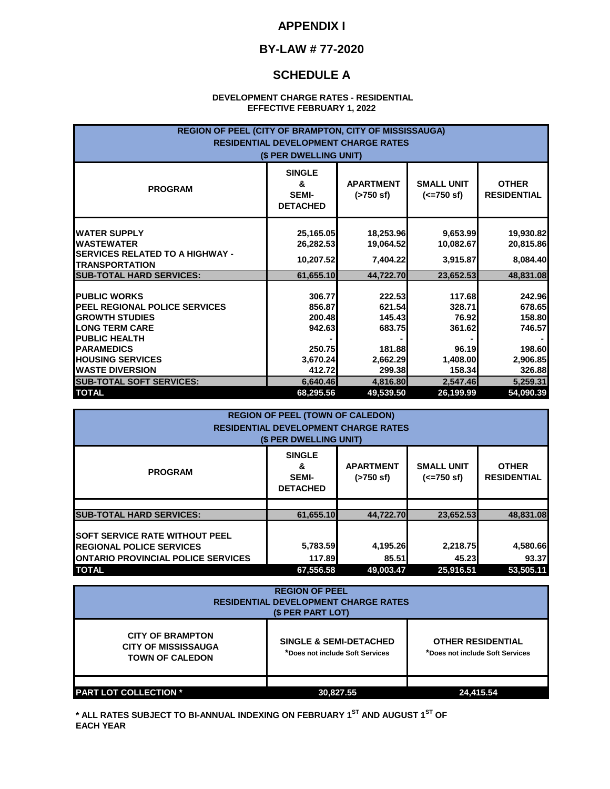#### **APPENDIX I**

### **BY-LAW # 77-2020**

### **SCHEDULE A**

#### **DEVELOPMENT CHARGE RATES - RESIDENTIAL EFFECTIVE FEBRUARY 1, 2022**

| REGION OF PEEL (CITY OF BRAMPTON, CITY OF MISSISSAUGA)<br><b>RESIDENTIAL DEVELOPMENT CHARGE RATES</b><br>(\$ PER DWELLING UNIT)                                                       |                                                            |                                                            |                                                          |                                                            |
|---------------------------------------------------------------------------------------------------------------------------------------------------------------------------------------|------------------------------------------------------------|------------------------------------------------------------|----------------------------------------------------------|------------------------------------------------------------|
| <b>PROGRAM</b>                                                                                                                                                                        | <b>SINGLE</b><br>&<br><b>SEMI-</b><br><b>DETACHED</b>      | <b>APARTMENT</b><br>$($ >750 sf)                           | <b>SMALL UNIT</b><br>$(<=750 \text{ sf})$                | <b>OTHER</b><br><b>RESIDENTIAL</b>                         |
| <b>WATER SUPPLY</b><br><b>WASTEWATER</b><br><b>ISERVICES RELATED TO A HIGHWAY -</b><br><b>TRANSPORTATION</b>                                                                          | 25,165.05<br>26,282.53<br>10,207.52                        | 18,253.96<br>19,064.52<br>7,404.22                         | 9,653.99<br>10,082.67<br>3,915.87                        | 19,930.82<br>20,815.86<br>8,084.40                         |
| <b>SUB-TOTAL HARD SERVICES:</b>                                                                                                                                                       | 61,655.10                                                  | 44,722.70                                                  | 23,652.53                                                | 48,831.08                                                  |
| <b>PUBLIC WORKS</b><br><b>PEEL REGIONAL POLICE SERVICES</b><br><b>GROWTH STUDIES</b><br><b>LONG TERM CARE</b><br><b>PUBLIC HEALTH</b><br><b>PARAMEDICS</b><br><b>HOUSING SERVICES</b> | 306.77<br>856.87<br>200.48<br>942.63<br>250.75<br>3,670.24 | 222.53<br>621.54<br>145.43<br>683.75<br>181.88<br>2,662.29 | 117.68<br>328.71<br>76.92<br>361.62<br>96.19<br>1,408.00 | 242.96<br>678.65<br>158.80<br>746.57<br>198.60<br>2,906.85 |
| <b>WASTE DIVERSION</b>                                                                                                                                                                | 412.72                                                     | 299.38                                                     | 158.34                                                   | 326.88                                                     |
| <b>SUB-TOTAL SOFT SERVICES:</b>                                                                                                                                                       | 6,640.46                                                   | 4,816.80                                                   | 2,547.46                                                 | 5,259.31                                                   |
| <b>TOTAL</b>                                                                                                                                                                          | 68,295.56                                                  | 49,539.50                                                  | 26,199.99                                                | 54,090.39                                                  |

| <b>REGION OF PEEL (TOWN OF CALEDON)</b><br><b>RESIDENTIAL DEVELOPMENT CHARGE RATES</b><br>(\$ PER DWELLING UNIT)       |                                                       |                                  |                                           |                                    |  |
|------------------------------------------------------------------------------------------------------------------------|-------------------------------------------------------|----------------------------------|-------------------------------------------|------------------------------------|--|
| <b>PROGRAM</b>                                                                                                         | <b>SINGLE</b><br>&<br><b>SEMI-</b><br><b>DETACHED</b> | <b>APARTMENT</b><br>$($ >750 sf) | <b>SMALL UNIT</b><br>$(<=750 \text{ sf})$ | <b>OTHER</b><br><b>RESIDENTIAL</b> |  |
| <b>SUB-TOTAL HARD SERVICES:</b>                                                                                        | 61,655.10                                             | 44.722.70                        | 23,652.53                                 | 48.831.08                          |  |
| <b>SOFT SERVICE RATE WITHOUT PEEL</b><br><b>IREGIONAL POLICE SERVICES</b><br><b>ONTARIO PROVINCIAL POLICE SERVICES</b> | 5,783.59<br>117.89                                    | 4,195.26<br>85.51                | 2,218.75<br>45.23                         | 4,580.66<br>93.37                  |  |
| <b>TOTAL</b>                                                                                                           | 67.556.58                                             | 49.003.47                        | 25.916.51                                 | 53.505.11                          |  |

| <b>REGION OF PEEL</b><br><b>RESIDENTIAL DEVELOPMENT CHARGE RATES</b><br>(\$ PER PART LOT) |                                                                      |                                                             |  |
|-------------------------------------------------------------------------------------------|----------------------------------------------------------------------|-------------------------------------------------------------|--|
| <b>CITY OF BRAMPTON</b><br><b>CITY OF MISSISSAUGA</b><br><b>TOWN OF CALEDON</b>           | <b>SINGLE &amp; SEMI-DETACHED</b><br>*Does not include Soft Services | <b>OTHER RESIDENTIAL</b><br>*Does not include Soft Services |  |
|                                                                                           |                                                                      |                                                             |  |
| <b>PART LOT COLLECTION *</b>                                                              | 30,827.55                                                            | 24,415.54                                                   |  |

**\* ALL RATES SUBJECT TO BI-ANNUAL INDEXING ON FEBRUARY 1ST AND AUGUST 1ST OF EACH YEAR**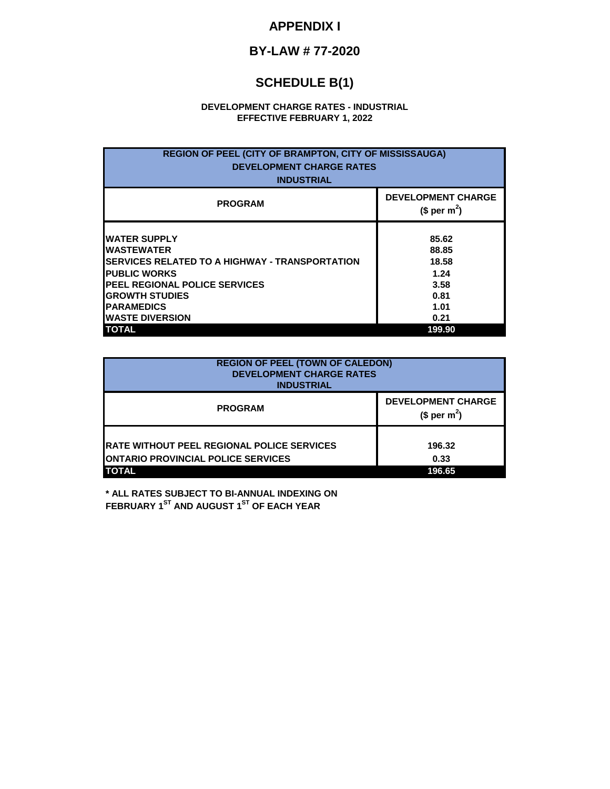## **APPENDIX I**

# **BY-LAW # 77-2020**

# **SCHEDULE B(1)**

#### **DEVELOPMENT CHARGE RATES - INDUSTRIAL EFFECTIVE FEBRUARY 1, 2022**

| <b>REGION OF PEEL (CITY OF BRAMPTON, CITY OF MISSISSAUGA)</b><br><b>DEVELOPMENT CHARGE RATES</b><br><b>INDUSTRIAL</b>                                                                                                                                           |                                                                           |  |  |
|-----------------------------------------------------------------------------------------------------------------------------------------------------------------------------------------------------------------------------------------------------------------|---------------------------------------------------------------------------|--|--|
| <b>PROGRAM</b>                                                                                                                                                                                                                                                  | <b>DEVELOPMENT CHARGE</b><br>(\$ per m <sup>2</sup> )                     |  |  |
| <b>IWATER SUPPLY</b><br><b>I</b> WASTEWATER<br><b>ISERVICES RELATED TO A HIGHWAY - TRANSPORTATION</b><br><b>PUBLIC WORKS</b><br><b>IPEEL REGIONAL POLICE SERVICES</b><br><b>GROWTH STUDIES</b><br><b>IPARAMEDICS</b><br><b>IWASTE DIVERSION</b><br><b>TOTAL</b> | 85.62<br>88.85<br>18.58<br>1.24<br>3.58<br>0.81<br>1.01<br>0.21<br>199.90 |  |  |

| <b>REGION OF PEEL (TOWN OF CALEDON)</b><br><b>DEVELOPMENT CHARGE RATES</b><br><b>INDUSTRIAL</b>                |                                              |  |
|----------------------------------------------------------------------------------------------------------------|----------------------------------------------|--|
| <b>PROGRAM</b>                                                                                                 | <b>DEVELOPMENT CHARGE</b><br>(\$ per $m^2$ ) |  |
| <b>RATE WITHOUT PEEL REGIONAL POLICE SERVICES</b><br><b>ONTARIO PROVINCIAL POLICE SERVICES</b><br><b>TOTAL</b> | 196.32<br>0.33<br>196.65                     |  |

**\* ALL RATES SUBJECT TO BI-ANNUAL INDEXING ON FEBRUARY 1ST AND AUGUST 1ST OF EACH YEAR**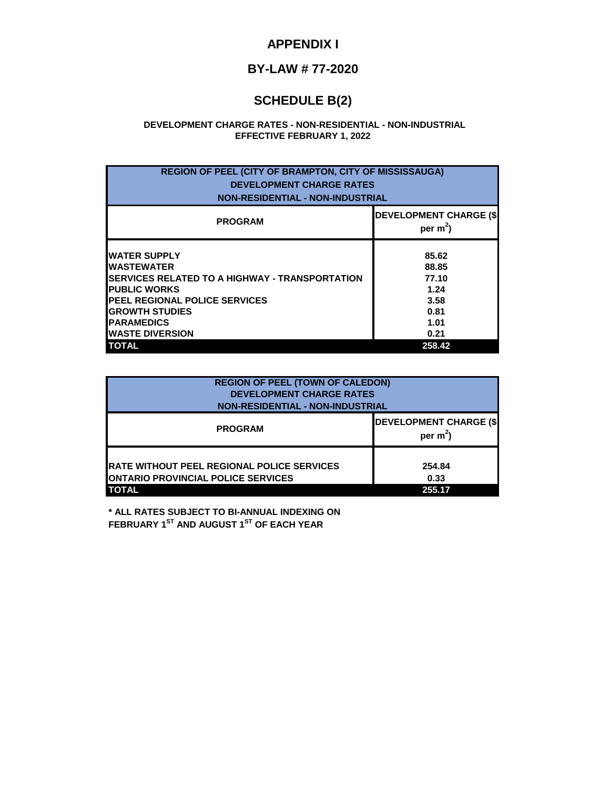### **APPENDIX I**

# **BY-LAW # 77-2020**

# **SCHEDULE B(2)**

#### **EFFECTIVE FEBRUARY 1, 2022 DEVELOPMENT CHARGE RATES - NON-RESIDENTIAL - NON-INDUSTRIAL**

| <b>REGION OF PEEL (CITY OF BRAMPTON, CITY OF MISSISSAUGA)</b><br><b>DEVELOPMENT CHARGE RATES</b><br><b>NON-RESIDENTIAL - NON-INDUSTRIAL</b>                                                                                                               |                                                                           |  |  |
|-----------------------------------------------------------------------------------------------------------------------------------------------------------------------------------------------------------------------------------------------------------|---------------------------------------------------------------------------|--|--|
| <b>PROGRAM</b>                                                                                                                                                                                                                                            | <b>DEVELOPMENT CHARGE (\$)</b><br>per $m^2$ )                             |  |  |
| <b>WATER SUPPLY</b><br><b>WASTEWATER</b><br><b>ISERVICES RELATED TO A HIGHWAY - TRANSPORTATION</b><br><b>PUBLIC WORKS</b><br><b>PEEL REGIONAL POLICE SERVICES</b><br><b>GROWTH STUDIES</b><br><b>PARAMEDICS</b><br><b>WASTE DIVERSION</b><br><b>TOTAL</b> | 85.62<br>88.85<br>77.10<br>1.24<br>3.58<br>0.81<br>1.01<br>0.21<br>258.42 |  |  |

| <b>REGION OF PEEL (TOWN OF CALEDON)</b><br><b>DEVELOPMENT CHARGE RATES</b><br><b>NON-RESIDENTIAL - NON-INDUSTRIAL</b> |                                             |  |
|-----------------------------------------------------------------------------------------------------------------------|---------------------------------------------|--|
| <b>PROGRAM</b>                                                                                                        | <b>DEVELOPMENT CHARGE (\$</b><br>per $m2$ ) |  |
| <b>IRATE WITHOUT PEEL REGIONAL POLICE SERVICES</b><br><b>IONTARIO PROVINCIAL POLICE SERVICES</b><br><b>TOTAL</b>      | 254.84<br>0.33<br>255.17                    |  |

**\* ALL RATES SUBJECT TO BI-ANNUAL INDEXING ON FEBRUARY 1ST AND AUGUST 1ST OF EACH YEAR**